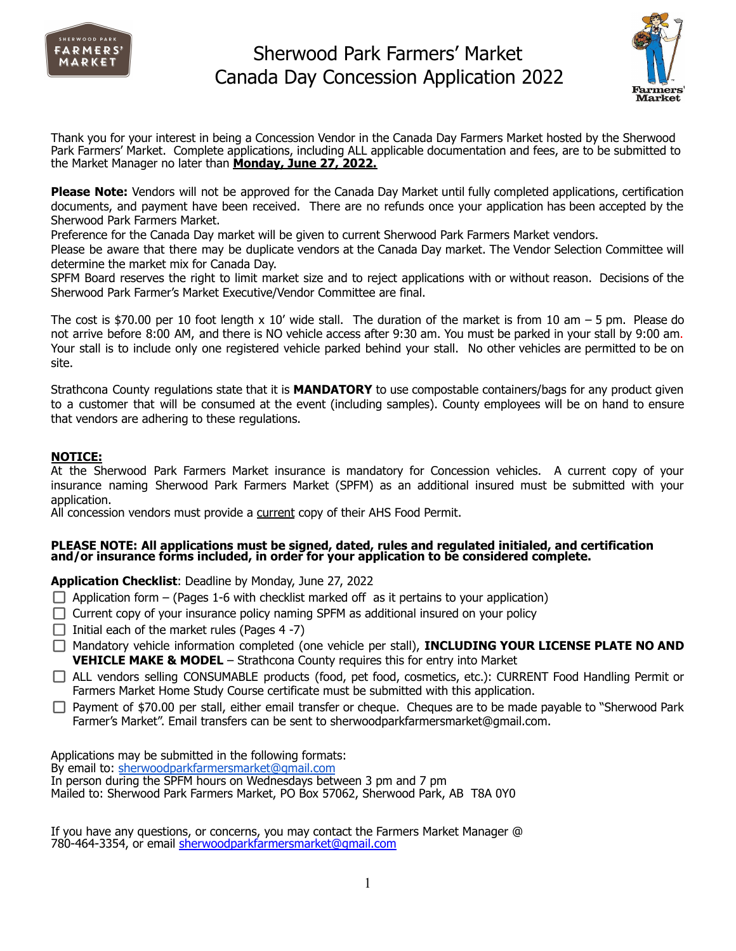



Thank you for your interest in being a Concession Vendor in the Canada Day Farmers Market hosted by the Sherwood Park Farmers' Market. Complete applications, including ALL applicable documentation and fees, are to be submitted to the Market Manager no later than **Monday, June 27, 2022.**

**Please Note:** Vendors will not be approved for the Canada Day Market until fully completed applications, certification documents, and payment have been received. There are no refunds once your application has been accepted by the Sherwood Park Farmers Market.

Preference for the Canada Day market will be given to current Sherwood Park Farmers Market vendors.

Please be aware that there may be duplicate vendors at the Canada Day market. The Vendor Selection Committee will determine the market mix for Canada Day.

SPFM Board reserves the right to limit market size and to reject applications with or without reason. Decisions of the Sherwood Park Farmer's Market Executive/Vendor Committee are final.

The cost is \$70.00 per 10 foot length x 10' wide stall. The duration of the market is from 10 am  $-5$  pm. Please do not arrive before 8:00 AM, and there is NO vehicle access after 9:30 am. You must be parked in your stall by 9:00 am. Your stall is to include only one registered vehicle parked behind your stall. No other vehicles are permitted to be on site.

Strathcona County regulations state that it is **MANDATORY** to use compostable containers/bags for any product given to a customer that will be consumed at the event (including samples). County employees will be on hand to ensure that vendors are adhering to these regulations.

### **NOTICE:**

At the Sherwood Park Farmers Market insurance is mandatory for Concession vehicles. A current copy of your insurance naming Sherwood Park Farmers Market (SPFM) as an additional insured must be submitted with your application.

All concession vendors must provide a current copy of their AHS Food Permit.

#### **PLEASE NOTE: All applications must be signed, dated, rules and regulated initialed, and certification and/or insurance forms included, in order for your application to be considered complete.**

**Application Checklist**: Deadline by Monday, June 27, 2022

- $\Box$  Application form (Pages 1-6 with checklist marked off as it pertains to your application)
- $\Box$  Current copy of your insurance policy naming SPFM as additional insured on your policy
- $\Box$  Initial each of the market rules (Pages 4 -7)
- Mandatory vehicle information completed (one vehicle per stall), **INCLUDING YOUR LICENSE PLATE NO AND VEHICLE MAKE & MODEL** – Strathcona County requires this for entry into Market
- ALL vendors selling CONSUMABLE products (food, pet food, cosmetics, etc.): CURRENT Food Handling Permit or Farmers Market Home Study Course certificate must be submitted with this application.
- $\Box$  Payment of \$70.00 per stall, either email transfer or cheque. Cheques are to be made payable to "Sherwood Park Farmer's Market". Email transfers can be sent to sherwoodparkfarmersmarket@gmail.com.

Applications may be submitted in the following formats: By email to: [sherwoodparkfarmersmarket@gmail.com](mailto:sherwoodparkfarmersmarket@gmail.com) In person during the SPFM hours on Wednesdays between 3 pm and 7 pm Mailed to: Sherwood Park Farmers Market, PO Box 57062, Sherwood Park, AB T8A 0Y0

If you have any questions, or concerns, you may contact the Farmers Market Manager @ 780-464-3354, or email [sherwoodparkfarmersmarket@gmail.com](mailto:sherwoodparkfarmersmarket@gmail.com)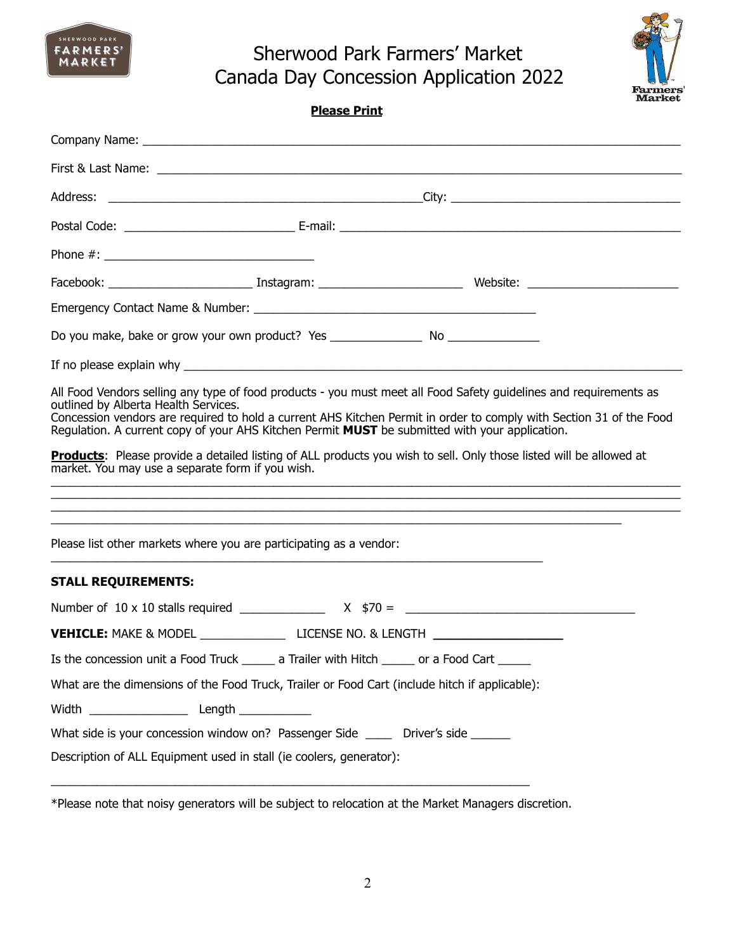



### **Please Print**

| Do you make, bake or grow your own product? Yes _________________________________                                                                                                                                                                                                                                                                                                                                                                                       |
|-------------------------------------------------------------------------------------------------------------------------------------------------------------------------------------------------------------------------------------------------------------------------------------------------------------------------------------------------------------------------------------------------------------------------------------------------------------------------|
|                                                                                                                                                                                                                                                                                                                                                                                                                                                                         |
| All Food Vendors selling any type of food products - you must meet all Food Safety guidelines and requirements as<br>outlined by Alberta Health Services.<br>Concession vendors are required to hold a current AHS Kitchen Permit in order to comply with Section 31 of the Food<br>Requlation. A current copy of your AHS Kitchen Permit MUST be submitted with your application.                                                                                      |
| Products: Please provide a detailed listing of ALL products you wish to sell. Only those listed will be allowed at<br>market. You may use a separate form if you wish.<br><u> 1989 - Jan James James James James James James James James James James James James James James James James J</u><br>,我们也不能在这里的时候,我们也不能在这里的时候,我们也不能会在这里的时候,我们也不能会在这里的时候,我们也不能会在这里的时候,我们也不能会在这里的时候,我们也不<br>,我们也不能在这里的时候,我们也不能在这里的时候,我们也不能会在这里的时候,我们也不能会在这里的时候,我们也不能会在这里的时候,我们也不能会在这里的时候,我们也 |
| Please list other markets where you are participating as a vendor:                                                                                                                                                                                                                                                                                                                                                                                                      |
| <b>STALL REQUIREMENTS:</b>                                                                                                                                                                                                                                                                                                                                                                                                                                              |
|                                                                                                                                                                                                                                                                                                                                                                                                                                                                         |
| VEHICLE: MAKE & MODEL _________________________________LICENSE NO. & LENGTH ________________________                                                                                                                                                                                                                                                                                                                                                                    |
| Is the concession unit a Food Truck ______ a Trailer with Hitch ______ or a Food Cart _____                                                                                                                                                                                                                                                                                                                                                                             |
| What are the dimensions of the Food Truck, Trailer or Food Cart (include hitch if applicable):                                                                                                                                                                                                                                                                                                                                                                          |
|                                                                                                                                                                                                                                                                                                                                                                                                                                                                         |
| What side is your concession window on? Passenger Side ______ Driver's side _____                                                                                                                                                                                                                                                                                                                                                                                       |
| Description of ALL Equipment used in stall (ie coolers, generator):                                                                                                                                                                                                                                                                                                                                                                                                     |

\*Please note that noisy generators will be subject to relocation at the Market Managers discretion.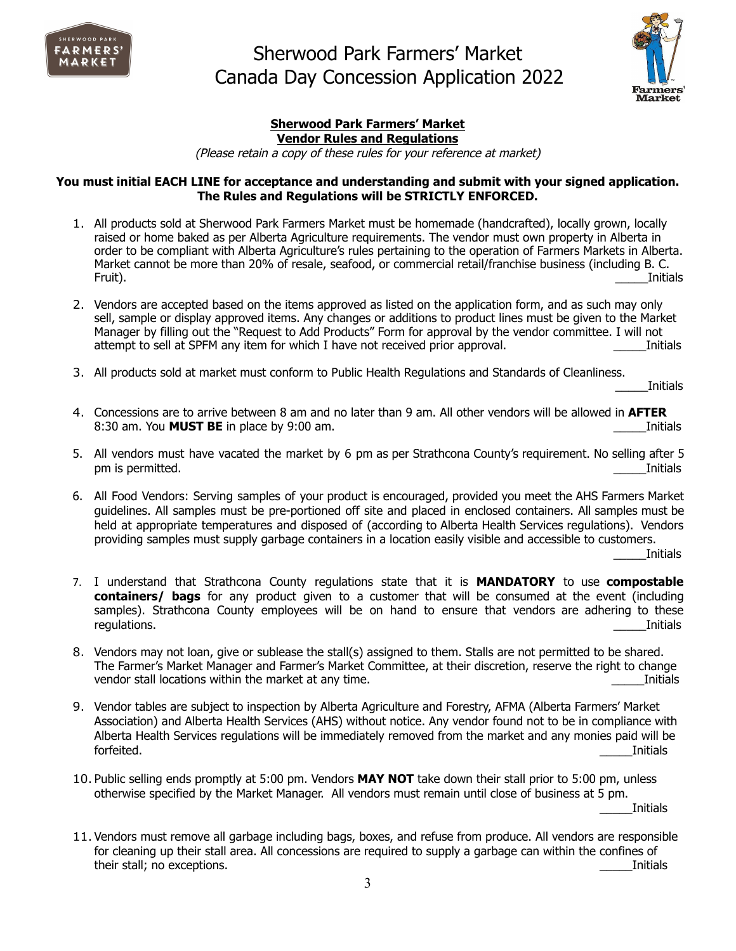



### **Sherwood Park Farmers' Market Vendor Rules and Regulations**

(Please retain <sup>a</sup> copy of these rules for your reference at market)

#### **You must initial EACH LINE for acceptance and understanding and submit with your signed application. The Rules and Regulations will be STRICTLY ENFORCED.**

- 1. All products sold at Sherwood Park Farmers Market must be homemade (handcrafted), locally grown, locally raised or home baked as per Alberta Agriculture requirements. The vendor must own property in Alberta in order to be compliant with Alberta Agriculture's rules pertaining to the operation of Farmers Markets in Alberta. Market cannot be more than 20% of resale, seafood, or commercial retail/franchise business (including B. C. Fruit). \_\_\_\_\_Initials
- 2. Vendors are accepted based on the items approved as listed on the application form, and as such may only sell, sample or display approved items. Any changes or additions to product lines must be given to the Market Manager by filling out the "Request to Add Products" Form for approval by the vendor committee. I will not attempt to sell at SPFM any item for which I have not received prior approval. This is a straining initials
- 3. All products sold at market must conform to Public Health Regulations and Standards of Cleanliness.

\_\_\_\_\_Initials

- 4. Concessions are to arrive between 8 am and no later than 9 am. All other vendors will be allowed in **AFTER** 8:30 am. You **MUST BE** in place by 9:00 am. **Example 20 american control and the Control** of the Luis and Thitials
- 5. All vendors must have vacated the market by 6 pm as per Strathcona County's requirement. No selling after 5 pm is permitted. This is not contained. This is not contained to be a set of the set of the set of the set of the set of the set of the set of the set of the set of the set of the set of the set of the set of the set of th
- 6. All Food Vendors: Serving samples of your product is encouraged, provided you meet the AHS Farmers Market guidelines. All samples must be pre-portioned off site and placed in enclosed containers. All samples must be held at appropriate temperatures and disposed of (according to Alberta Health Services regulations). Vendors providing samples must supply garbage containers in a location easily visible and accessible to customers.

\_\_\_\_\_Initials

- 7. I understand that Strathcona County regulations state that it is **MANDATORY** to use **compostable containers/ bags** for any product given to a customer that will be consumed at the event (including samples). Strathcona County employees will be on hand to ensure that vendors are adhering to these regulations. \_\_\_\_\_Initials
- 8. Vendors may not loan, give or sublease the stall(s) assigned to them. Stalls are not permitted to be shared. The Farmer's Market Manager and Farmer's Market Committee, at their discretion, reserve the right to change vendor stall locations within the market at any time. The match of the match of the match of the match of the match of the match of the match of the match of the match of the match of the match of the match of the match of
- 9. Vendor tables are subject to inspection by Alberta Agriculture and Forestry, AFMA (Alberta Farmers' Market Association) and Alberta Health Services (AHS) without notice. Any vendor found not to be in compliance with Alberta Health Services regulations will be immediately removed from the market and any monies paid will be forfeited. \_\_\_\_\_Initials
- 10. Public selling ends promptly at 5:00 pm. Vendors **MAY NOT** take down their stall prior to 5:00 pm, unless otherwise specified by the Market Manager. All vendors must remain until close of business at 5 pm. \_\_\_\_\_Initials
- 11. Vendors must remove all garbage including bags, boxes, and refuse from produce. All vendors are responsible for cleaning up their stall area. All concessions are required to supply a garbage can within the confines of their stall; no exceptions. **Example 20** is the state of the state of the state of the state of the state of the state of the state of the state of the state of the state of the state of the state of the state of the state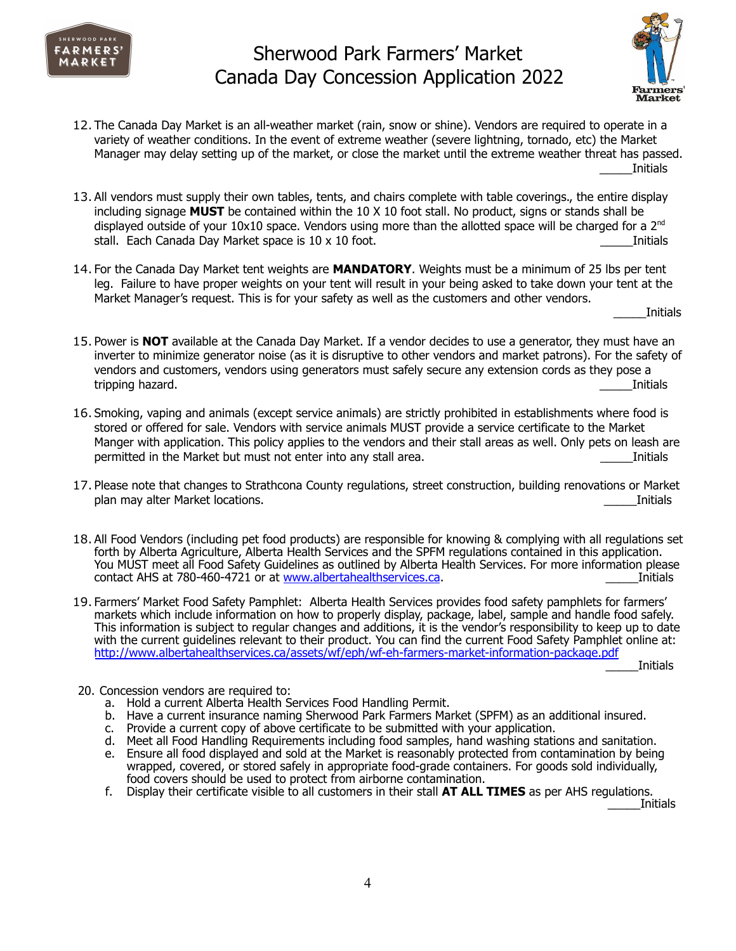



- 12. The Canada Day Market is an all-weather market (rain, snow or shine). Vendors are required to operate in a variety of weather conditions. In the event of extreme weather (severe lightning, tornado, etc) the Market Manager may delay setting up of the market, or close the market until the extreme weather threat has passed. \_\_\_\_\_Initials
- 13. All vendors must supply their own tables, tents, and chairs complete with table coverings., the entire display including signage **MUST** be contained within the 10 X 10 foot stall. No product, signs or stands shall be displayed outside of your  $10x10$  space. Vendors using more than the allotted space will be charged for a 2<sup>nd</sup> stall. Each Canada Day Market space is 10 x 10 foot.  $\blacksquare$
- 14. For the Canada Day Market tent weights are **MANDATORY**. Weights must be a minimum of 25 lbs per tent leg. Failure to have proper weights on your tent will result in your being asked to take down your tent at the Market Manager's request. This is for your safety as well as the customers and other vendors.

\_\_\_\_\_Initials

- 15. Power is **NOT** available at the Canada Day Market. If a vendor decides to use a generator, they must have an inverter to minimize generator noise (as it is disruptive to other vendors and market patrons). For the safety of vendors and customers, vendors using generators must safely secure any extension cords as they pose a tripping hazard. **Example 19** and the set of the set of the set of the set of the set of the set of the set of the set of the set of the set of the set of the set of the set of the set of the set of the set of the set of t
- 16. Smoking, vaping and animals (except service animals) are strictly prohibited in establishments where food is stored or offered for sale. Vendors with service animals MUST provide a service certificate to the Market Manger with application. This policy applies to the vendors and their stall areas as well. Only pets on leash are permitted in the Market but must not enter into any stall area. The enterprise of the Market Duritials
- 17. Please note that changes to Strathcona County regulations, street construction, building renovations or Market plan may alter Market locations. \_\_\_\_\_Initials
- 18. All Food Vendors (including pet food products) are responsible for knowing & complying with all regulations set forth by Alberta Agriculture, Alberta Health Services and the SPFM regulations contained in this application. You MUST meet all Food Safety Guidelines as outlined by Alberta Health Services. For more information please contact AHS at 780-460-4721 or at [www.albertahealthservices.ca](http://www.albertahealthservices.ca). **Example 2018** 10 10 101 112 112 112 112 112 11
- 19. Farmers' Market Food Safety Pamphlet: Alberta Health Services provides food safety pamphlets for farmers' markets which include information on how to properly display, package, label, sample and handle food safely. This information is subject to regular changes and additions, it is the vendor's responsibility to keep up to date with the current guidelines relevant to their product. You can find the current Food Safety Pamphlet online at: <http://www.albertahealthservices.ca/assets/wf/eph/wf-eh-farmers-market-information-package.pdf>

\_\_\_\_\_Initials

- 20. Concession vendors are required to:
	- a. Hold a current Alberta Health Services Food Handling Permit.
	- b. Have a current insurance naming Sherwood Park Farmers Market (SPFM) as an additional insured.
	- c. Provide a current copy of above certificate to be submitted with your application.
	- d. Meet all Food Handling Requirements including food samples, hand washing stations and sanitation.
	- e. Ensure all food displayed and sold at the Market is reasonably protected from contamination by being wrapped, covered, or stored safely in appropriate food-grade containers. For goods sold individually, food covers should be used to protect from airborne contamination.
	- f. Display their certificate visible to all customers in their stall **AT ALL TIMES** as per AHS regulations.

\_\_\_\_\_Initials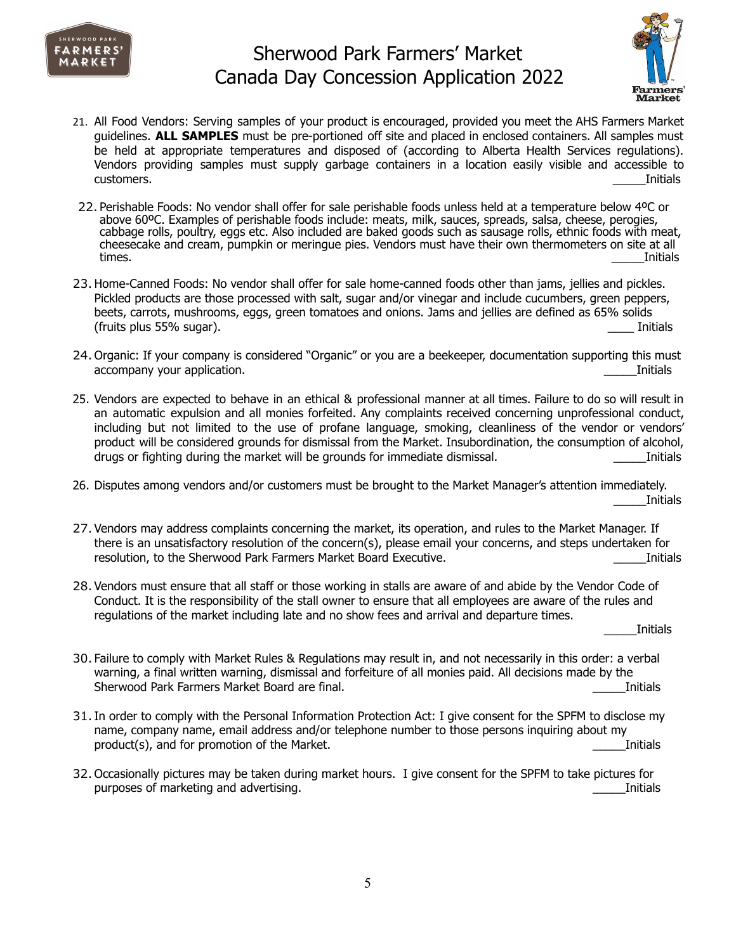



- 21. All Food Vendors: Serving samples of your product is encouraged, provided you meet the AHS Farmers Market guidelines. **ALL SAMPLES** must be pre-portioned off site and placed in enclosed containers. All samples must be held at appropriate temperatures and disposed of (according to Alberta Health Services regulations). Vendors providing samples must supply garbage containers in a location easily visible and accessible to customers. \_\_\_\_\_Initials
- 22. Perishable Foods: No vendor shall offer for sale perishable foods unless held at a temperature below 4ºC or above 60ºC. Examples of perishable foods include: meats, milk, sauces, spreads, salsa, cheese, perogies, cabbage rolls, poultry, eggs etc. Also included are baked goods such as sausage rolls, ethnic foods with meat, cheesecake and cream, pumpkin or meringue pies. Vendors must have their own thermometers on site at all times. \_\_\_\_\_Initials
- 23.Home-Canned Foods: No vendor shall offer for sale home-canned foods other than jams, jellies and pickles. Pickled products are those processed with salt, sugar and/or vinegar and include cucumbers, green peppers, beets, carrots, mushrooms, eggs, green tomatoes and onions. Jams and jellies are defined as 65% solids (fruits plus 55% sugar).  $\blacksquare$
- 24. Organic: If your company is considered "Organic" or you are a beekeeper, documentation supporting this must accompany your application. This company your application.
- 25. Vendors are expected to behave in an ethical & professional manner at all times. Failure to do so will result in an automatic expulsion and all monies forfeited. Any complaints received concerning unprofessional conduct, including but not limited to the use of profane language, smoking, cleanliness of the vendor or vendors' product will be considered grounds for dismissal from the Market. Insubordination, the consumption of alcohol, drugs or fighting during the market will be grounds for immediate dismissal. This is a state of initials and the market will be grounds for immediate dismissal.
- 26. Disputes among vendors and/or customers must be brought to the Market Manager's attention immediately. \_\_\_\_\_Initials
- 27. Vendors may address complaints concerning the market, its operation, and rules to the Market Manager. If there is an unsatisfactory resolution of the concern(s), please email your concerns, and steps undertaken for resolution, to the Sherwood Park Farmers Market Board Executive. **Example 2018** 2014 10: Initials
- 28. Vendors must ensure that all staff or those working in stalls are aware of and abide by the Vendor Code of Conduct. It is the responsibility of the stall owner to ensure that all employees are aware of the rules and regulations of the market including late and no show fees and arrival and departure times.

\_\_\_\_\_Initials

- 30. Failure to comply with Market Rules & Regulations may result in, and not necessarily in this order: a verbal warning, a final written warning, dismissal and forfeiture of all monies paid. All decisions made by the Sherwood Park Farmers Market Board are final. **Example 2018** 2014 12:38 2014 12:38
- 31.In order to comply with the Personal Information Protection Act: I give consent for the SPFM to disclose my name, company name, email address and/or telephone number to those persons inquiring about my product(s), and for promotion of the Market.  $\blacksquare$
- 32. Occasionally pictures may be taken during market hours. I give consent for the SPFM to take pictures for purposes of marketing and advertising. The contract of the contract of the contract of the contract of the contract of the contract of the contract of the contract of the contract of the contract of the contract of the con